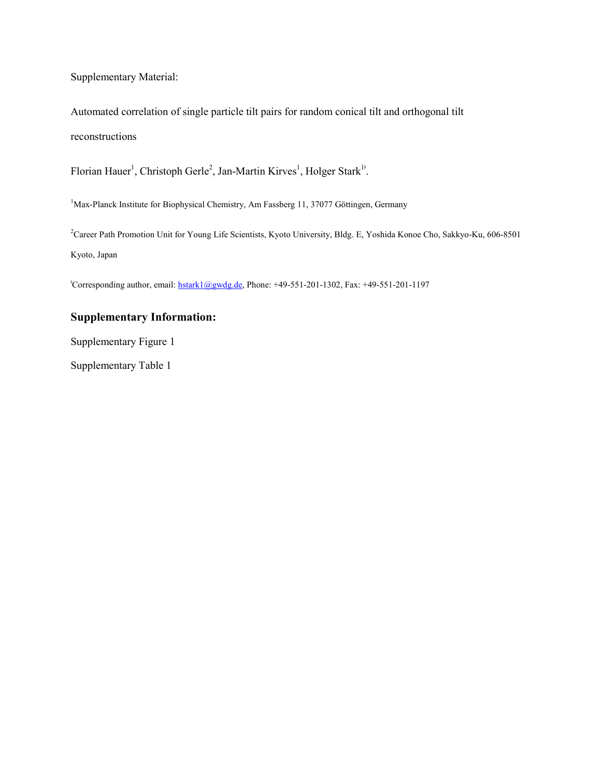Supplementary Material:

Automated correlation of single particle tilt pairs for random conical tilt and orthogonal tilt reconstructions

Florian Hauer<sup>1</sup>, Christoph Gerle<sup>2</sup>, Jan-Martin Kirves<sup>1</sup>, Holger Stark<sup>1‡</sup>.

<sup>1</sup>Max-Planck Institute for Biophysical Chemistry, Am Fassberg 11, 37077 Göttingen, Germany

<sup>2</sup>Career Path Promotion Unit for Young Life Scientists, Kyoto University, Bldg. E, Yoshida Konoe Cho, Sakkyo-Ku, 606-8501 Kyoto, Japan

ǂ Corresponding author, email[: hstark1@gwdg.de,](mailto:hstark1@gwdg.de) Phone: +49-551-201-1302, Fax: +49-551-201-1197

## **Supplementary Information:**

Supplementary Figure 1

Supplementary Table 1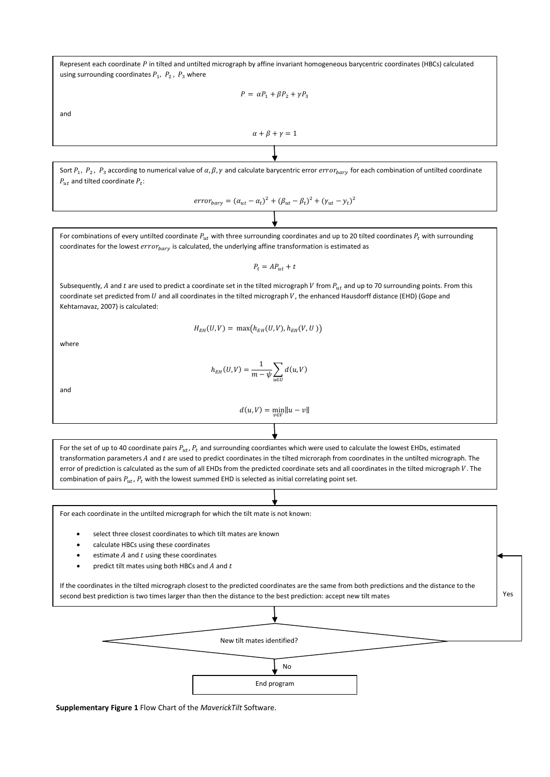Represent each coordinate P in tilted and untilted micrograph by affine invariant homogeneous barycentric coordinates (HBCs) calculated using surrounding coordinates  $P_1$ ,  $P_2$ ,  $P_3$  where

 $P = \alpha P_1 + \beta P_2 + \gamma P_3$ 

and

$$
\alpha+\beta+\gamma=1
$$

Sort  $P_1$ ,  $P_2$ ,  $P_3$  according to numerical value of  $\alpha$ ,  $\beta$ ,  $\gamma$  and calculate barycentric error  $error_{bary}$  for each combination of untilted coordinate  $P_{ut}$  and tilted coordinate  $P_t$ :

$$
error_{bary} = (\alpha_{ut} - \alpha_t)^2 + (\beta_{ut} - \beta_t)^2 + (\gamma_{ut} - \gamma_t)^2
$$

For combinations of every untilted coordinate  $P_{ut}$  with three surrounding coordinates and up to 20 tilted coordinates  $P_t$  with surrounding coordinates for the lowest  $error_{bary}$  is calculated, the underlying affine transformation is estimated as

 $P_t = AP_{ut} + t$ 

Subsequently, A and t are used to predict a coordinate set in the tilted micrograph V from  $P_{ut}$  and up to 70 surrounding points. From this coordinate set predicted from  $U$  and all coordinates in the tilted micrograph  $V$ , the enhanced Hausdorff distance (EHD) (Gope and Kehtarnavaz, 2007) is calculated:

$$
H_{EH}(U,V)=\ \max\bigl(h_{EH}(U,V),h_{EH}(V,U)\bigr)
$$

where

$$
h_{EH}(U,V)=\frac{1}{m-\psi}\sum_{u\in U}d(u,V)
$$

and

$$
d(u, V) = \min_{v \in V} ||u - v||
$$

For the set of up to 40 coordinate pairs  $P_{ut}$ ,  $P_t$  and surrounding coordiantes which were used to calculate the lowest EHDs, estimated transformation parameters A and t are used to predict coordinates in the tilted microraph from coordinates in the untilted micrograph. The error of prediction is calculated as the sum of all EHDs from the predicted coordinate sets and all coordinates in the tilted micrograph V. The combination of pairs  $P_{ut}$ ,  $P_t$  with the lowest summed EHD is selected as initial correlating point set.

For each coordinate in the untilted micrograph for which the tilt mate is not known:

- select three closest coordinates to which tilt mates are known
- calculate HBCs using these coordinates
- estimate  $A$  and  $t$  using these coordinates
- predict tilt mates using both HBCs and  $A$  and  $t$

If the coordinates in the tilted micrograph closest to the predicted coordinates are the same from both predictions and the distance to the second best prediction is two times larger than then the distance to the best prediction: accept new tilt mates



Yes

**Supplementary Figure 1** Flow Chart of the *MaverickTilt* Software.